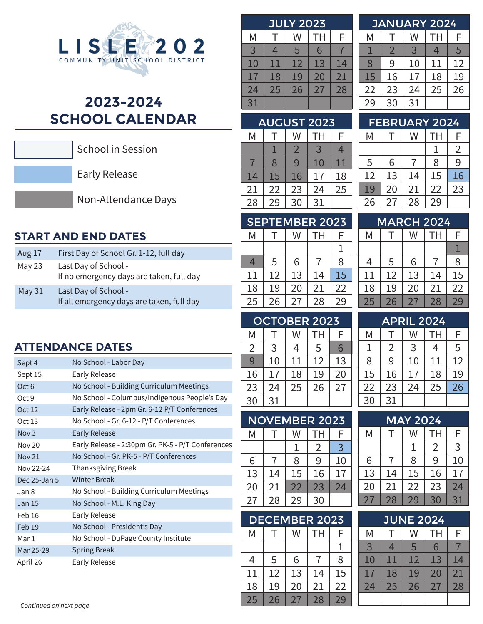

# **2023-2024 SCHOOL CALENDAR**



School in Session

Early Release

Non-Attendance Days

# **START AND END DATES**

| Aug 17   | First Day of School Gr. 1-12, full day                            |
|----------|-------------------------------------------------------------------|
| May 23   | Last Day of School -<br>If no emergency days are taken, full day  |
| May $31$ | Last Day of School -<br>If all emergency days are taken, full day |

### **ATTENDANCE DATES**

| Sept 4            | No School - Labor Day                             |
|-------------------|---------------------------------------------------|
| Sept 15           | <b>Early Release</b>                              |
| Oct <sub>6</sub>  | No School - Building Curriculum Meetings          |
| Oct 9             | No School - Columbus/Indigenous People's Day      |
| Oct 12            | Early Release - 2pm Gr. 6-12 P/T Conferences      |
| Oct 13            | No School - Gr. 6-12 - P/T Conferences            |
| Nov <sub>3</sub>  | Early Release                                     |
| <b>Nov 20</b>     | Early Release - 2:30pm Gr. PK-5 - P/T Conferences |
| <b>Nov 21</b>     | No School - Gr. PK-5 - P/T Conferences            |
| Nov 22-24         | <b>Thanksgiving Break</b>                         |
| Dec 25-Jan 5      | <b>Winter Break</b>                               |
| Jan 8             | No School - Building Curriculum Meetings          |
| <b>Jan 15</b>     | No School - M.L. King Day                         |
| Feb 16            | Early Release                                     |
| Feb <sub>19</sub> | No School - President's Day                       |
| Mar 1             | No School - DuPage County Institute               |
| Mar 25-29         | <b>Spring Break</b>                               |
| April 26          |                                                   |

| <b>JULY 2023</b> |    |    |    |    |  |
|------------------|----|----|----|----|--|
| Μ                | т  | W  | TН | F  |  |
| $\overline{3}$   | 4  | 5  | 6  |    |  |
| 10               | 11 | 12 | 13 | 14 |  |
| 17               | 18 | 19 | 20 | 21 |  |
| 24               | 25 | 26 | 27 | 28 |  |
| 31               |    |    |    |    |  |

|    |    | <b>JANUARY 2024</b> |           |    |
|----|----|---------------------|-----------|----|
| Μ  |    | W                   | <b>TH</b> | F  |
|    | 2  | 3                   | 4         | 5  |
| 8  | 9  | 10                  | 11        | 12 |
| 15 | 16 | 17                  | 18        | 19 |
| 22 | 23 | 24                  | 25        | 26 |
| 29 | 30 | 31                  |           |    |
|    |    |                     |           |    |

| <b>AUGUST 2023</b> |    |    |    |    |
|--------------------|----|----|----|----|
| Μ                  |    | W  | TН | F  |
|                    |    | 2  | 3  | 4  |
|                    | 8  | 9  | 10 | 11 |
| 14                 | 15 | 16 | 17 | 18 |
| 21                 | 22 | 23 | 24 | 25 |
| 28                 | 29 | 30 | 31 |    |

|    |    |    | <b>FEBRUARY 2024</b> |    |
|----|----|----|----------------------|----|
| Μ  |    | W  | TН                   | F  |
|    |    |    |                      | 2  |
| 5  | 6  |    | 8                    | 9  |
| 12 | 13 | 14 | 15                   | 16 |
| 19 | 20 | 21 | 22                   | 23 |
| 26 | 27 | 28 | 29                   |    |

| <b>SEPTEMBER 2023</b> |    |    |    |    |
|-----------------------|----|----|----|----|
| M                     |    | W  | TH | F  |
|                       |    |    |    | L  |
| 4                     | 5  | 6  | 7  | 8  |
| 11                    | 12 | 13 | 14 | 15 |
| 18                    | 19 | 20 | 21 | 22 |
| 25                    | 26 | 27 | 28 | 29 |

| <b>MARCH 2024</b> |    |    |    |  |
|-------------------|----|----|----|--|
|                   | W  | TН | F  |  |
|                   |    |    |    |  |
| 5                 | 6  | 7  | 8  |  |
| 12                | 13 | 14 | 15 |  |
| 19                | 20 | 21 | 22 |  |
| 26                | 27 | 28 | 29 |  |
|                   |    |    |    |  |

# OCTOBER 2023

| Μ  |    | W  | TН | F  |
|----|----|----|----|----|
| 2  | 3  | 4  | 5  | 6  |
| 9  | 10 | 11 | 12 | 13 |
| 16 | 17 | 18 | 19 | 20 |
| 23 | 24 | 25 | 26 | 27 |
| 30 | 31 |    |    |    |

| <b>NOVEMBER 2023</b> |    |    |    |    |  |  |
|----------------------|----|----|----|----|--|--|
| M                    |    | W  | TН | F  |  |  |
|                      |    | 1  | 2  | 3  |  |  |
| 6                    | 7  | 8  | 9  | 10 |  |  |
| 13                   | 14 | 15 | 16 | 17 |  |  |
| 20                   | 21 | 22 | 23 | 24 |  |  |
| 27                   | 28 | 29 | 30 |    |  |  |
|                      |    |    |    |    |  |  |

| <b>DECEMBER 2023</b> |    |    |    |    |
|----------------------|----|----|----|----|
| M                    |    | W  | TН | F  |
|                      |    |    |    |    |
| 4                    | 5  | 6  |    | 8  |
| 11                   | 12 | 13 | 14 | 15 |
| 18                   | 19 | 20 | 21 | 22 |
| 25                   | 26 | 27 | 28 | 79 |

| F  |
|----|
|    |
| 5  |
| 12 |
| 19 |
| 26 |
|    |
|    |

| <b>MAY 2024</b> |    |         |                |    |  |
|-----------------|----|---------|----------------|----|--|
| Μ               |    | TН<br>W |                | F  |  |
|                 |    |         | $\overline{2}$ | 3  |  |
| 6               |    | 8       | 9              | 10 |  |
| 13              | 14 | 15      | 16             | 17 |  |
| 20              | 21 | 22      | 23             | 24 |  |
| 27              | 28 | 29      | 30             | 31 |  |

| <b>JUNE 2024</b> |    |    |    |    |  |
|------------------|----|----|----|----|--|
| Μ                |    | W  | TН | F  |  |
| 3                | 4  | 5  | 6  |    |  |
| 10               | 11 | 12 | 13 | 14 |  |
| 17               | 18 | 19 | 20 | 21 |  |
| 24               | 25 | 26 | 27 | 28 |  |
|                  |    |    |    |    |  |